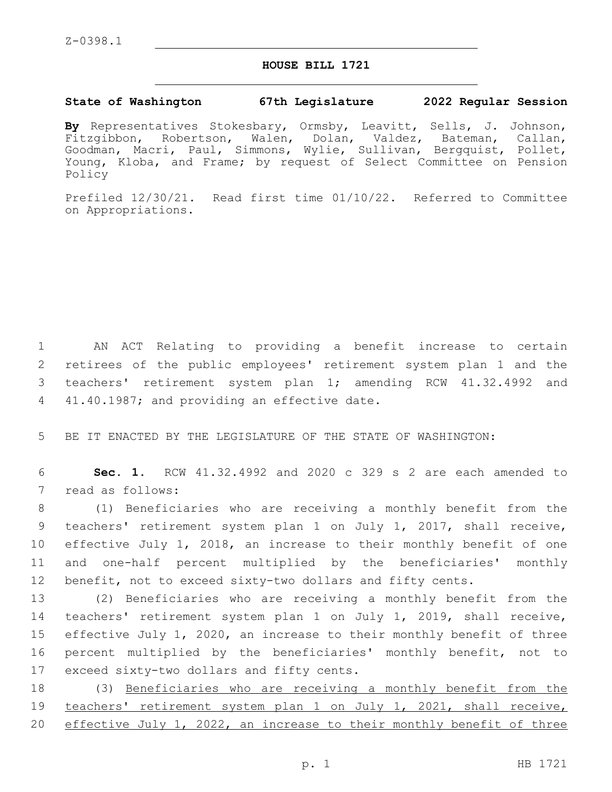## **HOUSE BILL 1721**

## **State of Washington 67th Legislature 2022 Regular Session**

**By** Representatives Stokesbary, Ormsby, Leavitt, Sells, J. Johnson, Fitzgibbon, Robertson, Walen, Dolan, Valdez, Bateman, Callan, Goodman, Macri, Paul, Simmons, Wylie, Sullivan, Bergquist, Pollet, Young, Kloba, and Frame; by request of Select Committee on Pension Policy

Prefiled 12/30/21. Read first time 01/10/22. Referred to Committee on Appropriations.

 AN ACT Relating to providing a benefit increase to certain retirees of the public employees' retirement system plan 1 and the teachers' retirement system plan 1; amending RCW 41.32.4992 and 4 41.40.1987; and providing an effective date.

5 BE IT ENACTED BY THE LEGISLATURE OF THE STATE OF WASHINGTON:

6 **Sec. 1.** RCW 41.32.4992 and 2020 c 329 s 2 are each amended to 7 read as follows:

 (1) Beneficiaries who are receiving a monthly benefit from the teachers' retirement system plan 1 on July 1, 2017, shall receive, effective July 1, 2018, an increase to their monthly benefit of one and one-half percent multiplied by the beneficiaries' monthly benefit, not to exceed sixty-two dollars and fifty cents.

 (2) Beneficiaries who are receiving a monthly benefit from the teachers' retirement system plan 1 on July 1, 2019, shall receive, effective July 1, 2020, an increase to their monthly benefit of three percent multiplied by the beneficiaries' monthly benefit, not to 17 exceed sixty-two dollars and fifty cents.

18 (3) Beneficiaries who are receiving a monthly benefit from the 19 teachers' retirement system plan 1 on July 1, 2021, shall receive, 20 effective July 1, 2022, an increase to their monthly benefit of three